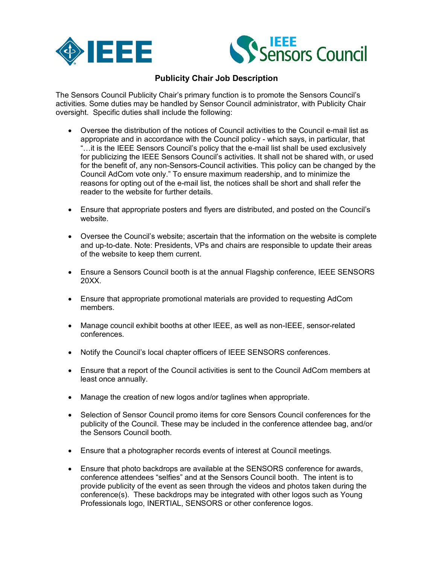



## **Publicity Chair Job Description**

The Sensors Council Publicity Chair's primary function is to promote the Sensors Council's activities. Some duties may be handled by Sensor Council administrator, with Publicity Chair oversight. Specific duties shall include the following:

- Oversee the distribution of the notices of Council activities to the Council e-mail list as appropriate and in accordance with the Council policy - which says, in particular, that "…it is the IEEE Sensors Council's policy that the e-mail list shall be used exclusively for publicizing the IEEE Sensors Council's activities. It shall not be shared with, or used for the benefit of, any non-Sensors-Council activities. This policy can be changed by the Council AdCom vote only." To ensure maximum readership, and to minimize the reasons for opting out of the e-mail list, the notices shall be short and shall refer the reader to the website for further details.
- Ensure that appropriate posters and flyers are distributed, and posted on the Council's website.
- Oversee the Council's website; ascertain that the information on the website is complete and up-to-date. Note: Presidents, VPs and chairs are responsible to update their areas of the website to keep them current.
- Ensure a Sensors Council booth is at the annual Flagship conference, IEEE SENSORS 20XX.
- Ensure that appropriate promotional materials are provided to requesting AdCom members.
- Manage council exhibit booths at other IEEE, as well as non-IEEE, sensor-related conferences.
- Notify the Council's local chapter officers of IEEE SENSORS conferences.
- Ensure that a report of the Council activities is sent to the Council AdCom members at least once annually.
- Manage the creation of new logos and/or taglines when appropriate.
- Selection of Sensor Council promo items for core Sensors Council conferences for the publicity of the Council. These may be included in the conference attendee bag, and/or the Sensors Council booth.
- Ensure that a photographer records events of interest at Council meetings.
- Ensure that photo backdrops are available at the SENSORS conference for awards, conference attendees "selfies" and at the Sensors Council booth. The intent is to provide publicity of the event as seen through the videos and photos taken during the conference(s). These backdrops may be integrated with other logos such as Young Professionals logo, INERTIAL, SENSORS or other conference logos.